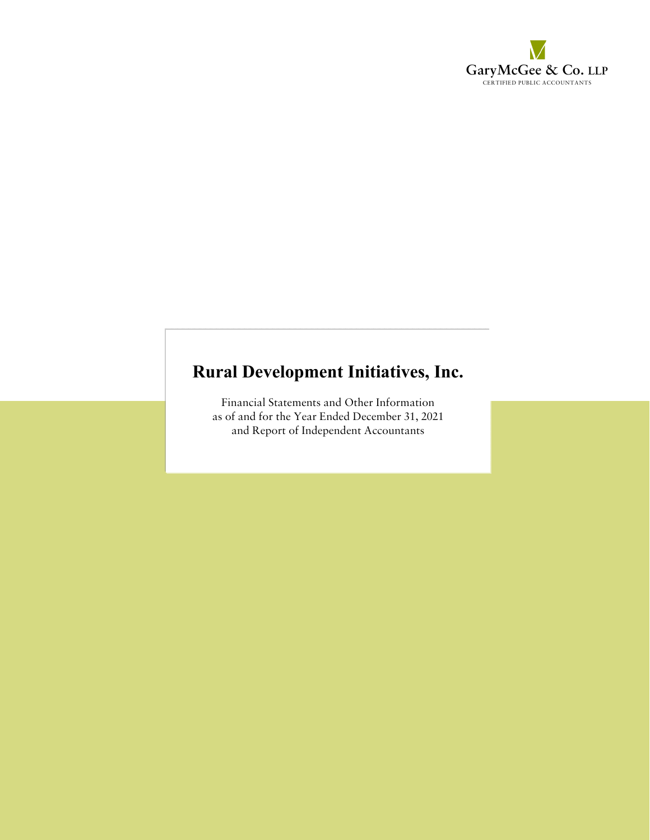

# **Rural Development Initiatives, Inc.**

Financial Statements and Other Information as of and for the Year Ended December 31, 2021 and Report of Independent Accountants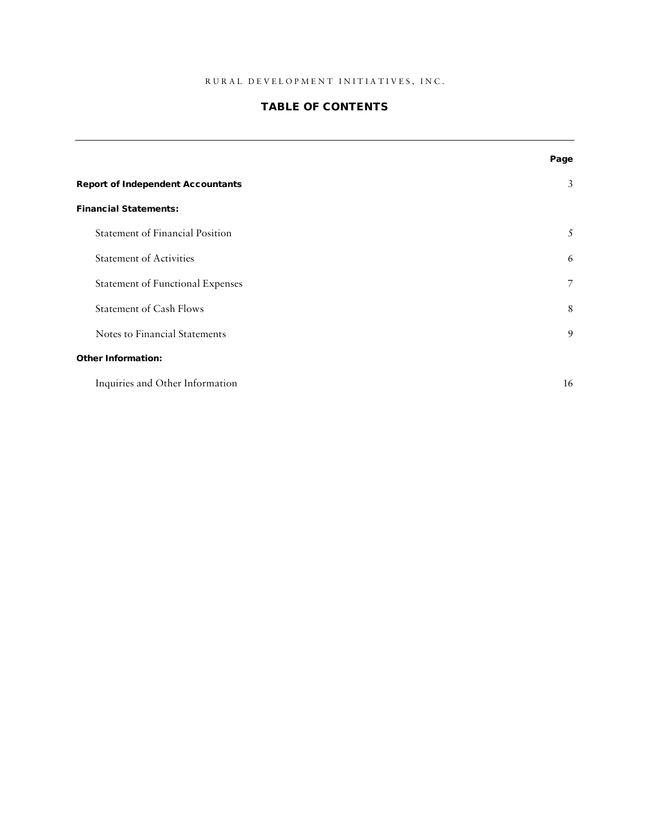# TABLE OF CONTENTS

|                                          | Page |
|------------------------------------------|------|
| <b>Report of Independent Accountants</b> | 3    |
| <b>Financial Statements:</b>             |      |
| Statement of Financial Position          | 5    |
| <b>Statement of Activities</b>           | 6    |
| Statement of Functional Expenses         | 7    |
| <b>Statement of Cash Flows</b>           | 8    |
| Notes to Financial Statements            | 9    |
| <b>Other Information:</b>                |      |
| Inquiries and Other Information          | 16   |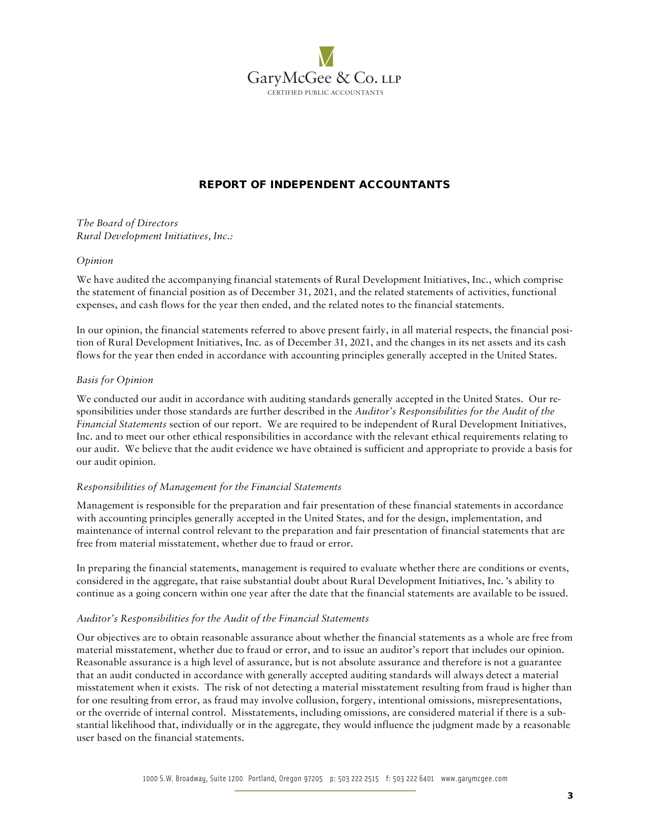

# REPORT OF INDEPENDENT ACCOUNTANTS

*The Board of Directors Rural Development Initiatives, Inc.:*

#### *Opinion*

We have audited the accompanying financial statements of Rural Development Initiatives, Inc., which comprise the statement of financial position as of December 31, 2021, and the related statements of activities, functional expenses, and cash flows for the year then ended, and the related notes to the financial statements.

In our opinion, the financial statements referred to above present fairly, in all material respects, the financial position of Rural Development Initiatives, Inc. as of December 31, 2021, and the changes in its net assets and its cash flows for the year then ended in accordance with accounting principles generally accepted in the United States.

#### *Basis for Opinion*

We conducted our audit in accordance with auditing standards generally accepted in the United States. Our responsibilities under those standards are further described in the *Auditor's Responsibilities for the Audit of the Financial Statements* section of our report. We are required to be independent of Rural Development Initiatives, Inc. and to meet our other ethical responsibilities in accordance with the relevant ethical requirements relating to our audit. We believe that the audit evidence we have obtained is sufficient and appropriate to provide a basis for our audit opinion.

#### *Responsibilities of Management for the Financial Statements*

Management is responsible for the preparation and fair presentation of these financial statements in accordance with accounting principles generally accepted in the United States, and for the design, implementation, and maintenance of internal control relevant to the preparation and fair presentation of financial statements that are free from material misstatement, whether due to fraud or error.

In preparing the financial statements, management is required to evaluate whether there are conditions or events, considered in the aggregate, that raise substantial doubt about Rural Development Initiatives, Inc. 's ability to continue as a going concern within one year after the date that the financial statements are available to be issued.

#### *Auditor's Responsibilities for the Audit of the Financial Statements*

Our objectives are to obtain reasonable assurance about whether the financial statements as a whole are free from material misstatement, whether due to fraud or error, and to issue an auditor's report that includes our opinion. Reasonable assurance is a high level of assurance, but is not absolute assurance and therefore is not a guarantee that an audit conducted in accordance with generally accepted auditing standards will always detect a material misstatement when it exists. The risk of not detecting a material misstatement resulting from fraud is higher than for one resulting from error, as fraud may involve collusion, forgery, intentional omissions, misrepresentations, or the override of internal control. Misstatements, including omissions, are considered material if there is a substantial likelihood that, individually or in the aggregate, they would influence the judgment made by a reasonable user based on the financial statements.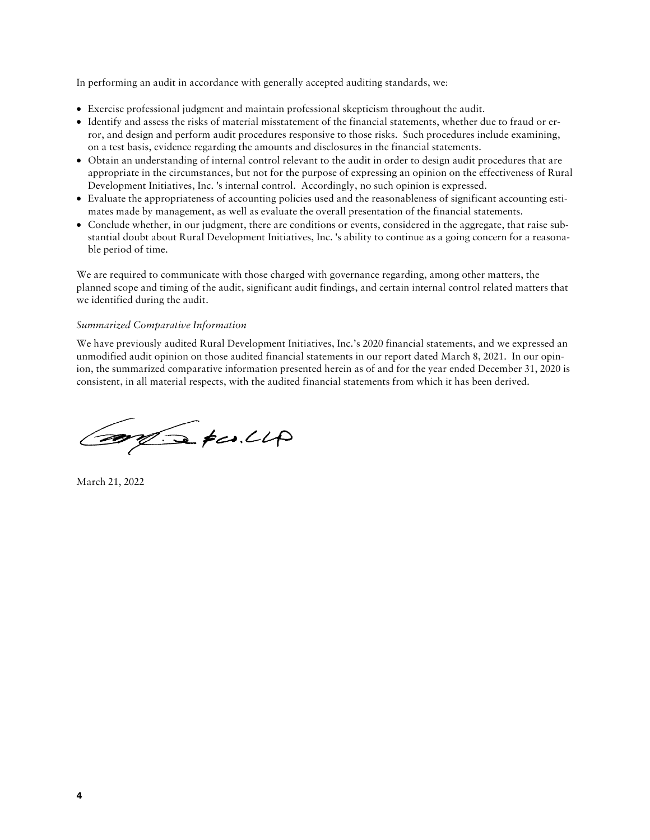In performing an audit in accordance with generally accepted auditing standards, we:

- Exercise professional judgment and maintain professional skepticism throughout the audit.
- Identify and assess the risks of material misstatement of the financial statements, whether due to fraud or error, and design and perform audit procedures responsive to those risks. Such procedures include examining, on a test basis, evidence regarding the amounts and disclosures in the financial statements.
- Obtain an understanding of internal control relevant to the audit in order to design audit procedures that are appropriate in the circumstances, but not for the purpose of expressing an opinion on the effectiveness of Rural Development Initiatives, Inc. 's internal control. Accordingly, no such opinion is expressed.
- Evaluate the appropriateness of accounting policies used and the reasonableness of significant accounting estimates made by management, as well as evaluate the overall presentation of the financial statements.
- Conclude whether, in our judgment, there are conditions or events, considered in the aggregate, that raise substantial doubt about Rural Development Initiatives, Inc. 's ability to continue as a going concern for a reasonable period of time.

We are required to communicate with those charged with governance regarding, among other matters, the planned scope and timing of the audit, significant audit findings, and certain internal control related matters that we identified during the audit.

## *Summarized Comparative Information*

We have previously audited Rural Development Initiatives, Inc.'s 2020 financial statements, and we expressed an unmodified audit opinion on those audited financial statements in our report dated March 8, 2021. In our opinion, the summarized comparative information presented herein as of and for the year ended December 31, 2020 is consistent, in all material respects, with the audited financial statements from which it has been derived.

ang a fac LLP

March 21, 2022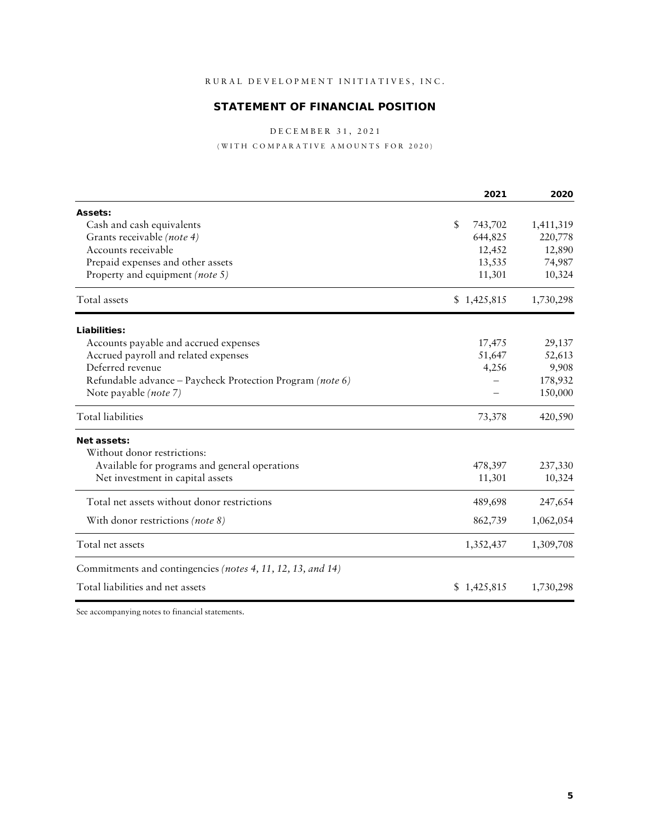# STATEMENT OF FINANCIAL POSITION

D E C E M B E R 3 1 , 2 0 2 1

 $(\,\mathop{\mathtt{W}}\,!\,\mathop{\mathtt{I}}\,\mathop{\mathtt{H}}\, \mathop{\mathtt{C}}\, \mathop{\mathtt{O}}\, \mathop{\mathtt{M}}\, \mathop{\mathtt{P}}\, \mathop{\mathtt{A}}\, \mathop{\mathtt{R}}\, \mathop{\mathtt{A}}\, \mathop{\mathtt{M}}\, \mathop{\mathtt{O}}\, \mathop{\mathtt{U}}\, \mathop{\mathtt{N}}\, \mathop{\mathtt{T}}\, \mathop{\mathtt{S}}\, \mathop{\mathtt{F}}\, \mathop{\mathtt{O}}\, \mathop{\mathtt{R}}\, \mathop{\mathtt{202$ 

|                                                             | 2021          | 2020      |
|-------------------------------------------------------------|---------------|-----------|
| <b>Assets:</b>                                              |               |           |
| Cash and cash equivalents                                   | \$<br>743,702 | 1,411,319 |
| Grants receivable (note 4)                                  | 644,825       | 220,778   |
| Accounts receivable                                         | 12,452        | 12,890    |
| Prepaid expenses and other assets                           | 13,535        | 74,987    |
| Property and equipment (note 5)                             | 11,301        | 10,324    |
| Total assets                                                | \$1,425,815   | 1,730,298 |
| <b>Liabilities:</b>                                         |               |           |
| Accounts payable and accrued expenses                       | 17,475        | 29,137    |
| Accrued payroll and related expenses                        | 51,647        | 52,613    |
| Deferred revenue                                            | 4,256         | 9,908     |
| Refundable advance – Paycheck Protection Program (note 6)   |               | 178,932   |
| Note payable (note 7)                                       |               | 150,000   |
| <b>Total</b> liabilities                                    | 73,378        | 420,590   |
| Net assets:                                                 |               |           |
| Without donor restrictions:                                 |               |           |
| Available for programs and general operations               | 478,397       | 237,330   |
| Net investment in capital assets                            | 11,301        | 10,324    |
| Total net assets without donor restrictions                 | 489,698       | 247,654   |
| With donor restrictions (note 8)                            | 862,739       | 1,062,054 |
| Total net assets                                            | 1,352,437     | 1,309,708 |
| Commitments and contingencies (notes 4, 11, 12, 13, and 14) |               |           |
| Total liabilities and net assets                            | \$1,425,815   | 1,730,298 |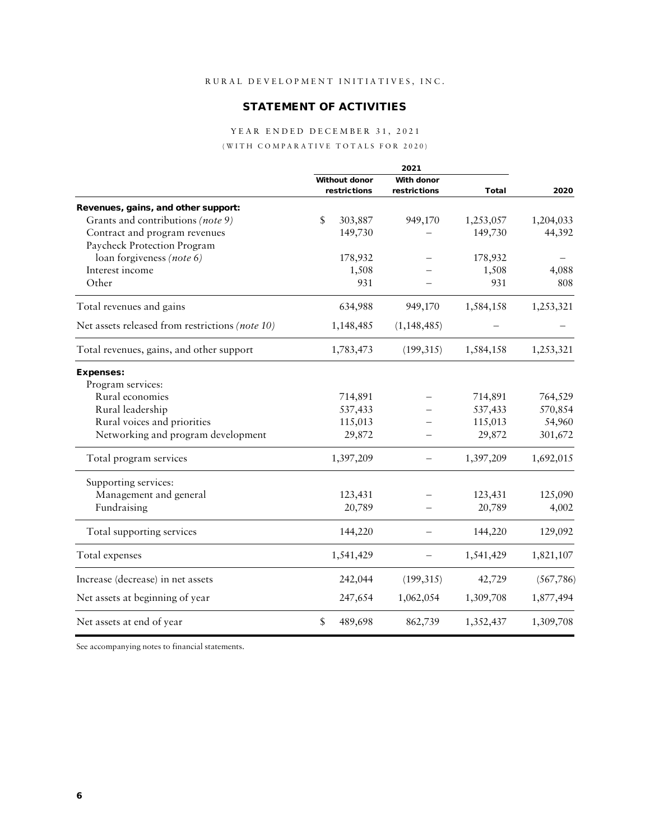# R U R A L D E V E L O P M E N T I N I T I A T I V E S , I N C .

# STATEMENT OF ACTIVITIES

# YEAR ENDED DECEMBER 31, 2021

## $(\hbox{\tt WITH COMPARATIVE TOTALS FOR 2020})$

|                                                 | 2021                                 |                            |              |           |
|-------------------------------------------------|--------------------------------------|----------------------------|--------------|-----------|
|                                                 | <b>Without donor</b><br>restrictions | With donor<br>restrictions | <b>Total</b> | 2020      |
| Revenues, gains, and other support:             |                                      |                            |              |           |
| Grants and contributions (note 9)               | \$<br>303,887                        | 949,170                    | 1,253,057    | 1,204,033 |
| Contract and program revenues                   | 149,730                              |                            | 149,730      | 44,392    |
| Paycheck Protection Program                     |                                      |                            |              |           |
| loan forgiveness (note 6)                       | 178,932                              |                            | 178,932      |           |
| Interest income                                 | 1,508                                |                            | 1,508        | 4,088     |
| Other                                           | 931                                  |                            | 931          | 808       |
| Total revenues and gains                        | 634,988                              | 949,170                    | 1,584,158    | 1,253,321 |
| Net assets released from restrictions (note 10) | 1,148,485                            | (1, 148, 485)              |              |           |
| Total revenues, gains, and other support        | 1,783,473                            | (199, 315)                 | 1,584,158    | 1,253,321 |
| <b>Expenses:</b>                                |                                      |                            |              |           |
| Program services:                               |                                      |                            |              |           |
| Rural economies                                 | 714,891                              |                            | 714,891      | 764,529   |
| Rural leadership                                | 537,433                              |                            | 537,433      | 570,854   |
| Rural voices and priorities                     | 115,013                              |                            | 115,013      | 54,960    |
| Networking and program development              | 29,872                               |                            | 29,872       | 301,672   |
| Total program services                          | 1,397,209                            |                            | 1,397,209    | 1,692,015 |
| Supporting services:                            |                                      |                            |              |           |
| Management and general                          | 123,431                              |                            | 123,431      | 125,090   |
| Fundraising                                     | 20,789                               |                            | 20,789       | 4,002     |
| Total supporting services                       | 144,220                              |                            | 144,220      | 129,092   |
| Total expenses                                  | 1,541,429                            |                            | 1,541,429    | 1,821,107 |
| Increase (decrease) in net assets               | 242,044                              | (199, 315)                 | 42,729       | (567,786) |
| Net assets at beginning of year                 | 247,654                              | 1,062,054                  | 1,309,708    | 1,877,494 |
| Net assets at end of year                       | \$<br>489,698                        | 862,739                    | 1,352,437    | 1,309,708 |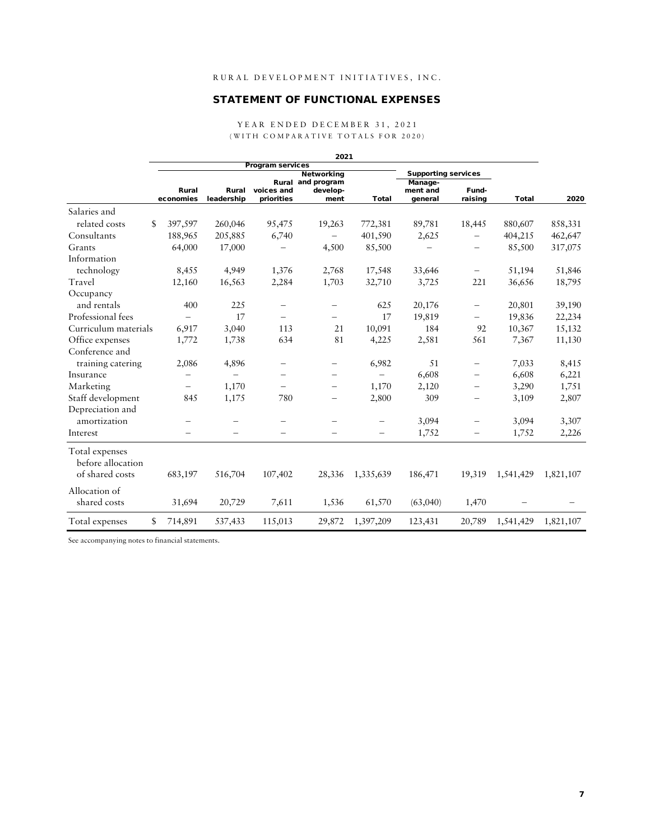# STATEMENT OF FUNCTIONAL EXPENSES

#### $(WITH COMPARATIVE TOTALS FOR 2020)$ YEAR ENDED DECEMBER 31, 2021

|                      |                          |            |                          | 2021                            |                   |                                       |                          |              |           |
|----------------------|--------------------------|------------|--------------------------|---------------------------------|-------------------|---------------------------------------|--------------------------|--------------|-----------|
|                      |                          |            | <b>Program services</b>  |                                 |                   |                                       |                          |              |           |
|                      |                          |            |                          | Networking<br>Rural and program |                   | <b>Supporting services</b><br>Manage- |                          |              |           |
|                      | Rural                    | Rural      | voices and               | develop-                        |                   | ment and                              | Fund-                    |              |           |
|                      | economies                | leadership | priorities               | ment                            | <b>Total</b>      | general                               | raising                  | <b>Total</b> | 2020      |
| Salaries and         |                          |            |                          |                                 |                   |                                       |                          |              |           |
| related costs        | \$<br>397,597            | 260,046    | 95,475                   | 19,263                          | 772,381           | 89,781                                | 18,445                   | 880,607      | 858,331   |
| Consultants          | 188,965                  | 205,885    | 6,740                    |                                 | 401,590           | 2,625                                 |                          | 404,215      | 462,647   |
| Grants               | 64,000                   | 17,000     |                          | 4,500                           | 85,500            |                                       |                          | 85,500       | 317,075   |
| Information          |                          |            |                          |                                 |                   |                                       |                          |              |           |
| technology           | 8,455                    | 4,949      | 1,376                    | 2,768                           | 17,548            | 33,646                                | —                        | 51,194       | 51,846    |
| Travel               | 12,160                   | 16,563     | 2,284                    | 1,703                           | 32,710            | 3,725                                 | 221                      | 36,656       | 18,795    |
| Occupancy            |                          |            |                          |                                 |                   |                                       |                          |              |           |
| and rentals          | 400                      | 225        | $\qquad \qquad -$        | —                               | 625               | 20,176                                | $\qquad \qquad -$        | 20,801       | 39,190    |
| Professional fees    | $\qquad \qquad -$        | 17         | $\overline{\phantom{0}}$ |                                 | 17                | 19,819                                | $\overline{\phantom{0}}$ | 19,836       | 22,234    |
| Curriculum materials | 6,917                    | 3,040      | 113                      | 21                              | 10,091            | 184                                   | 92                       | 10,367       | 15,132    |
| Office expenses      | 1,772                    | 1,738      | 634                      | 81                              | 4,225             | 2,581                                 | 561                      | 7,367        | 11,130    |
| Conference and       |                          |            |                          |                                 |                   |                                       |                          |              |           |
| training catering    | 2,086                    | 4,896      | —                        | —                               | 6,982             | 51                                    | $\overline{\phantom{0}}$ | 7,033        | 8,415     |
| Insurance            | $\overline{\phantom{0}}$ |            |                          | -                               | $\qquad \qquad -$ | 6,608                                 |                          | 6,608        | 6,221     |
| Marketing            | $\qquad \qquad -$        | 1,170      |                          | $\overline{\phantom{0}}$        | 1,170             | 2,120                                 | $\overline{\phantom{0}}$ | 3,290        | 1,751     |
| Staff development    | 845                      | 1,175      | 780                      |                                 | 2,800             | 309                                   | $\overline{\phantom{0}}$ | 3,109        | 2,807     |
| Depreciation and     |                          |            |                          |                                 |                   |                                       |                          |              |           |
| amortization         |                          |            |                          |                                 |                   | 3,094                                 |                          | 3,094        | 3,307     |
| Interest             |                          |            |                          |                                 | $\qquad \qquad -$ | 1,752                                 |                          | 1,752        | 2,226     |
| Total expenses       |                          |            |                          |                                 |                   |                                       |                          |              |           |
| before allocation    |                          |            |                          |                                 |                   |                                       |                          |              |           |
| of shared costs      | 683,197                  | 516,704    | 107,402                  | 28,336                          | 1,335,639         | 186,471                               | 19,319                   | 1,541,429    | 1,821,107 |
| Allocation of        |                          |            |                          |                                 |                   |                                       |                          |              |           |
| shared costs         | 31,694                   | 20,729     | 7,611                    | 1,536                           | 61,570            | (63,040)                              | 1,470                    |              |           |
| Total expenses       | \$<br>714,891            | 537,433    | 115,013                  | 29,872                          | 1,397,209         | 123,431                               | 20,789                   | 1,541,429    | 1,821,107 |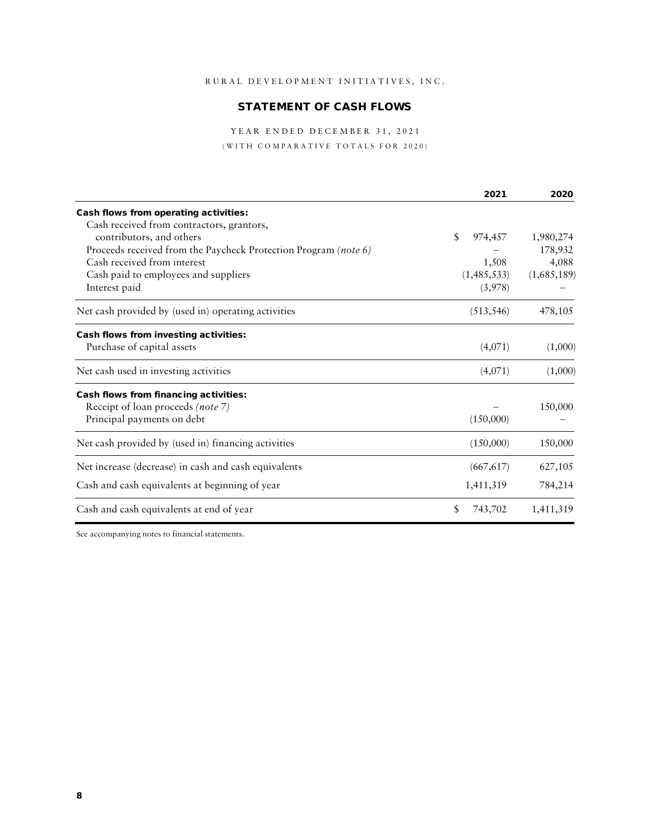# STATEMENT OF CASH FLOWS

YEAR ENDED DECEMBER 31, 2021

 $(\,\mathop{\mathtt{W}\,}\nolimits\, \mathop{\mathtt{I}\,}\nolimits\, \mathop{\mathtt{H}\,}\nolimits\, \mathop{\mathtt{C}\,}\nolimits\, \mathop{\mathtt{O}\,}\nolimits\, \mathop{\mathtt{M}\,}\nolimits\, \mathop{\mathtt{R}\,}\nolimits\, \mathop{\mathtt{A}\,}\nolimits\, \mathop{\mathtt{L}\,}\nolimits\, \mathop{\mathtt{S}\,}\nolimits\, \mathop{\mathtt{F}\,}\nolimits\, \mathop{\mathtt{O}\,}\nolimits\, \mathop{\mathtt{R}\,}\nolimits\, \mathop{\mathtt{2}\,}\$ 

|                                                                 | 2021          | 2020        |
|-----------------------------------------------------------------|---------------|-------------|
| Cash flows from operating activities:                           |               |             |
| Cash received from contractors, grantors,                       |               |             |
| contributors, and others                                        | \$<br>974,457 | 1,980,274   |
| Proceeds received from the Paycheck Protection Program (note 6) |               | 178,932     |
| Cash received from interest                                     | 1,508         | 4,088       |
| Cash paid to employees and suppliers                            | (1,485,533)   | (1,685,189) |
| Interest paid                                                   | (3,978)       |             |
| Net cash provided by (used in) operating activities             | (513, 546)    | 478,105     |
| Cash flows from investing activities:                           |               |             |
| Purchase of capital assets                                      | (4,071)       | (1,000)     |
| Net cash used in investing activities                           | (4,071)       | (1,000)     |
| Cash flows from financing activities:                           |               |             |
| Receipt of loan proceeds (note 7)                               |               | 150,000     |
| Principal payments on debt                                      | (150,000)     |             |
| Net cash provided by (used in) financing activities             | (150,000)     | 150,000     |
| Net increase (decrease) in cash and cash equivalents            | (667, 617)    | 627,105     |
| Cash and cash equivalents at beginning of year                  | 1,411,319     | 784,214     |
| Cash and cash equivalents at end of year                        | 743,702<br>\$ | 1,411,319   |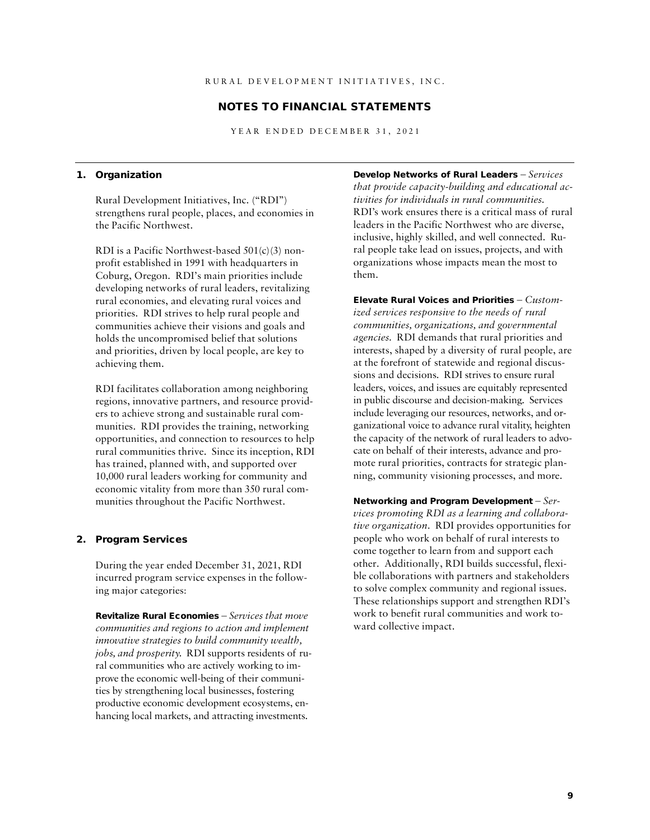#### NOTES TO FINANCIAL STATEMENTS

YEAR ENDED DECEMBER 31, 2021

# 1. Organization

Rural Development Initiatives, Inc. ("RDI") strengthens rural people, places, and economies in the Pacific Northwest.

RDI is a Pacific Northwest-based 501(c)(3) nonprofit established in 1991 with headquarters in Coburg, Oregon. RDI's main priorities include developing networks of rural leaders, revitalizing rural economies, and elevating rural voices and priorities. RDI strives to help rural people and communities achieve their visions and goals and holds the uncompromised belief that solutions and priorities, driven by local people, are key to achieving them.

RDI facilitates collaboration among neighboring regions, innovative partners, and resource providers to achieve strong and sustainable rural communities. RDI provides the training, networking opportunities, and connection to resources to help rural communities thrive. Since its inception, RDI has trained, planned with, and supported over 10,000 rural leaders working for community and economic vitality from more than 350 rural communities throughout the Pacific Northwest.

#### 2. Program Services

During the year ended December 31, 2021, RDI incurred program service expenses in the following major categories:

Revitalize Rural Economies – *Services that move communities and regions to action and implement innovative strategies to build community wealth, jobs, and prosperity.* RDI supports residents of rural communities who are actively working to improve the economic well-being of their communities by strengthening local businesses, fostering productive economic development ecosystems, enhancing local markets, and attracting investments.

Develop Networks of Rural Leaders – *Services that provide capacity-building and educational activities for individuals in rural communities.*  RDI's work ensures there is a critical mass of rural leaders in the Pacific Northwest who are diverse, inclusive, highly skilled, and well connected. Rural people take lead on issues, projects, and with organizations whose impacts mean the most to them.

Elevate Rural Voices and Priorities – *Customized services responsive to the needs of rural communities, organizations, and governmental agencies.* RDI demands that rural priorities and interests, shaped by a diversity of rural people, are at the forefront of statewide and regional discussions and decisions. RDI strives to ensure rural leaders, voices, and issues are equitably represented in public discourse and decision-making. Services include leveraging our resources, networks, and organizational voice to advance rural vitality, heighten the capacity of the network of rural leaders to advocate on behalf of their interests, advance and promote rural priorities, contracts for strategic planning, community visioning processes, and more.

Networking and Program Development – *Services promoting RDI as a learning and collaborative organization.* RDI provides opportunities for people who work on behalf of rural interests to come together to learn from and support each other. Additionally, RDI builds successful, flexible collaborations with partners and stakeholders to solve complex community and regional issues. These relationships support and strengthen RDI's work to benefit rural communities and work toward collective impact.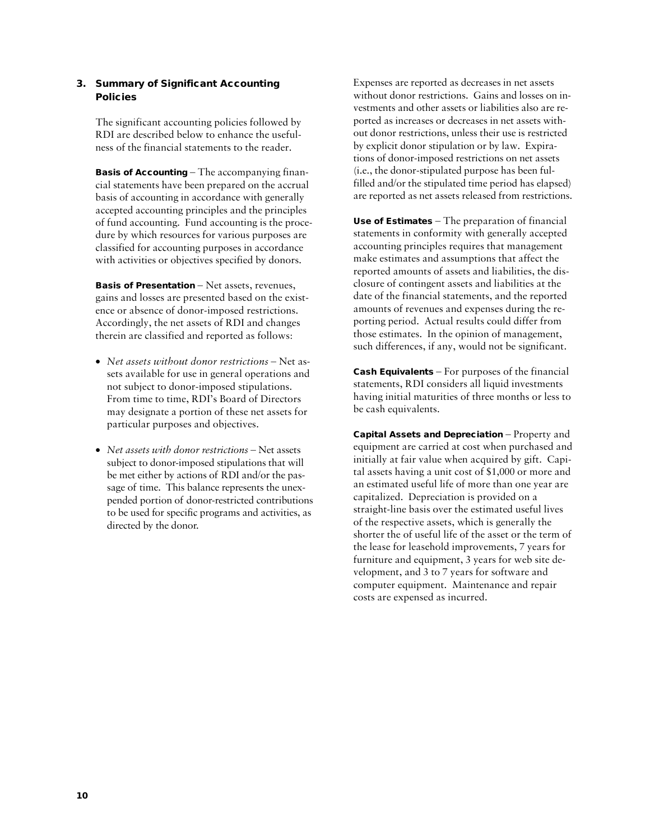# 3. Summary of Significant Accounting Policies

The significant accounting policies followed by RDI are described below to enhance the usefulness of the financial statements to the reader.

**Basis of Accounting** – The accompanying financial statements have been prepared on the accrual basis of accounting in accordance with generally accepted accounting principles and the principles of fund accounting. Fund accounting is the procedure by which resources for various purposes are classified for accounting purposes in accordance with activities or objectives specified by donors.

**Basis of Presentation**  $-$  Net assets, revenues, gains and losses are presented based on the existence or absence of donor-imposed restrictions. Accordingly, the net assets of RDI and changes therein are classified and reported as follows:

- *Net assets without donor restrictions* Net assets available for use in general operations and not subject to donor-imposed stipulations. From time to time, RDI's Board of Directors may designate a portion of these net assets for particular purposes and objectives.
- *Net assets with donor restrictions* Net assets subject to donor-imposed stipulations that will be met either by actions of RDI and/or the passage of time. This balance represents the unexpended portion of donor-restricted contributions to be used for specific programs and activities, as directed by the donor.

Expenses are reported as decreases in net assets without donor restrictions. Gains and losses on investments and other assets or liabilities also are reported as increases or decreases in net assets without donor restrictions, unless their use is restricted by explicit donor stipulation or by law. Expirations of donor-imposed restrictions on net assets (i.e., the donor-stipulated purpose has been fulfilled and/or the stipulated time period has elapsed) are reported as net assets released from restrictions.

Use of Estimates – The preparation of financial statements in conformity with generally accepted accounting principles requires that management make estimates and assumptions that affect the reported amounts of assets and liabilities, the disclosure of contingent assets and liabilities at the date of the financial statements, and the reported amounts of revenues and expenses during the reporting period. Actual results could differ from those estimates. In the opinion of management, such differences, if any, would not be significant.

Cash Equivalents – For purposes of the financial statements, RDI considers all liquid investments having initial maturities of three months or less to be cash equivalents.

Capital Assets and Depreciation – Property and equipment are carried at cost when purchased and initially at fair value when acquired by gift. Capital assets having a unit cost of \$1,000 or more and an estimated useful life of more than one year are capitalized. Depreciation is provided on a straight-line basis over the estimated useful lives of the respective assets, which is generally the shorter the of useful life of the asset or the term of the lease for leasehold improvements, 7 years for furniture and equipment, 3 years for web site development, and 3 to 7 years for software and computer equipment. Maintenance and repair costs are expensed as incurred.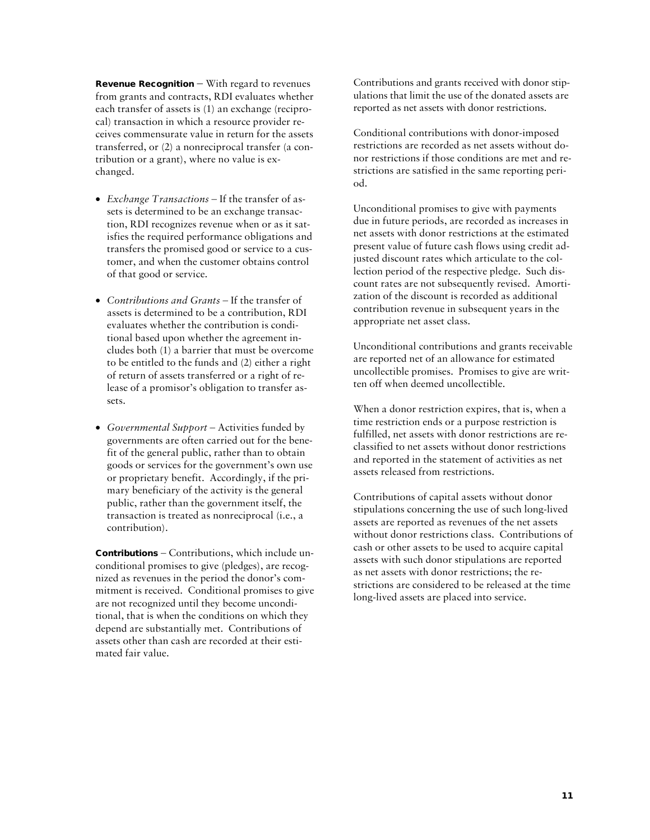**Revenue Recognition**  $-$  With regard to revenues from grants and contracts, RDI evaluates whether each transfer of assets is (1) an exchange (reciprocal) transaction in which a resource provider receives commensurate value in return for the assets transferred, or (2) a nonreciprocal transfer (a contribution or a grant), where no value is exchanged.

- *Exchange Transactions* If the transfer of assets is determined to be an exchange transaction, RDI recognizes revenue when or as it satisfies the required performance obligations and transfers the promised good or service to a customer, and when the customer obtains control of that good or service.
- *Contributions and Grants* If the transfer of assets is determined to be a contribution, RDI evaluates whether the contribution is conditional based upon whether the agreement includes both (1) a barrier that must be overcome to be entitled to the funds and (2) either a right of return of assets transferred or a right of release of a promisor's obligation to transfer assets.
- *Governmental Support* Activities funded by governments are often carried out for the benefit of the general public, rather than to obtain goods or services for the government's own use or proprietary benefit. Accordingly, if the primary beneficiary of the activity is the general public, rather than the government itself, the transaction is treated as nonreciprocal (i.e., a contribution).

Contributions – Contributions, which include unconditional promises to give (pledges), are recognized as revenues in the period the donor's commitment is received. Conditional promises to give are not recognized until they become unconditional, that is when the conditions on which they depend are substantially met. Contributions of assets other than cash are recorded at their estimated fair value.

Contributions and grants received with donor stipulations that limit the use of the donated assets are reported as net assets with donor restrictions.

Conditional contributions with donor-imposed restrictions are recorded as net assets without donor restrictions if those conditions are met and restrictions are satisfied in the same reporting period.

Unconditional promises to give with payments due in future periods, are recorded as increases in net assets with donor restrictions at the estimated present value of future cash flows using credit adjusted discount rates which articulate to the collection period of the respective pledge. Such discount rates are not subsequently revised. Amortization of the discount is recorded as additional contribution revenue in subsequent years in the appropriate net asset class.

Unconditional contributions and grants receivable are reported net of an allowance for estimated uncollectible promises. Promises to give are written off when deemed uncollectible.

When a donor restriction expires, that is, when a time restriction ends or a purpose restriction is fulfilled, net assets with donor restrictions are reclassified to net assets without donor restrictions and reported in the statement of activities as net assets released from restrictions.

Contributions of capital assets without donor stipulations concerning the use of such long-lived assets are reported as revenues of the net assets without donor restrictions class. Contributions of cash or other assets to be used to acquire capital assets with such donor stipulations are reported as net assets with donor restrictions; the restrictions are considered to be released at the time long-lived assets are placed into service.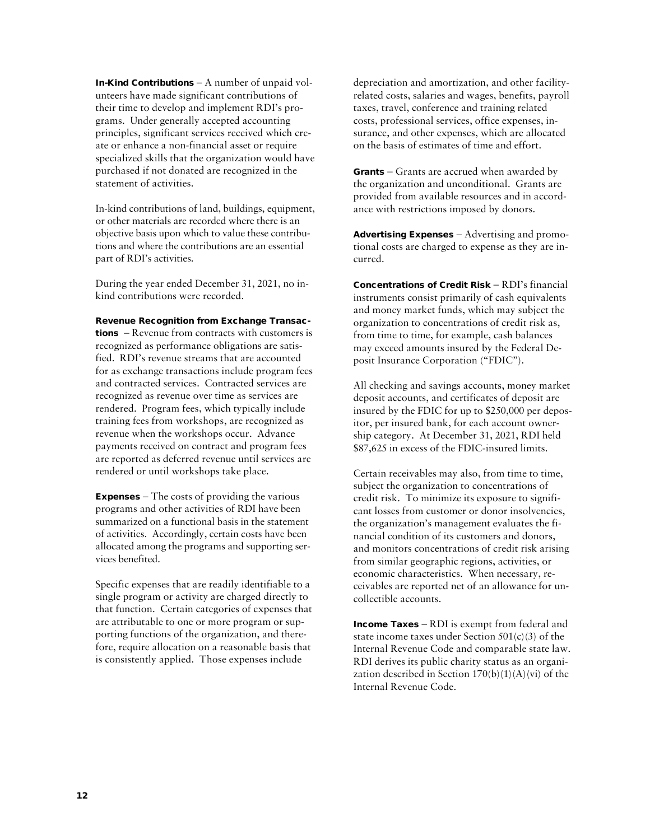In-Kind Contributions – A number of unpaid volunteers have made significant contributions of their time to develop and implement RDI's programs. Under generally accepted accounting principles, significant services received which create or enhance a non-financial asset or require specialized skills that the organization would have purchased if not donated are recognized in the statement of activities.

In-kind contributions of land, buildings, equipment, or other materials are recorded where there is an objective basis upon which to value these contributions and where the contributions are an essential part of RDI's activities.

During the year ended December 31, 2021, no inkind contributions were recorded.

Revenue Recognition from Exchange Transactions – Revenue from contracts with customers is

recognized as performance obligations are satisfied. RDI's revenue streams that are accounted for as exchange transactions include program fees and contracted services. Contracted services are recognized as revenue over time as services are rendered. Program fees, which typically include training fees from workshops, are recognized as revenue when the workshops occur. Advance payments received on contract and program fees are reported as deferred revenue until services are rendered or until workshops take place.

Expenses – The costs of providing the various programs and other activities of RDI have been summarized on a functional basis in the statement of activities. Accordingly, certain costs have been allocated among the programs and supporting services benefited.

Specific expenses that are readily identifiable to a single program or activity are charged directly to that function. Certain categories of expenses that are attributable to one or more program or supporting functions of the organization, and therefore, require allocation on a reasonable basis that is consistently applied. Those expenses include

depreciation and amortization, and other facilityrelated costs, salaries and wages, benefits, payroll taxes, travel, conference and training related costs, professional services, office expenses, insurance, and other expenses, which are allocated on the basis of estimates of time and effort.

Grants − Grants are accrued when awarded by the organization and unconditional. Grants are provided from available resources and in accordance with restrictions imposed by donors.

Advertising Expenses – Advertising and promotional costs are charged to expense as they are incurred.

Concentrations of Credit Risk − RDI's financial instruments consist primarily of cash equivalents and money market funds, which may subject the organization to concentrations of credit risk as, from time to time, for example, cash balances may exceed amounts insured by the Federal Deposit Insurance Corporation ("FDIC").

All checking and savings accounts, money market deposit accounts, and certificates of deposit are insured by the FDIC for up to \$250,000 per depositor, per insured bank, for each account ownership category. At December 31, 2021, RDI held \$87,625 in excess of the FDIC-insured limits.

Certain receivables may also, from time to time, subject the organization to concentrations of credit risk. To minimize its exposure to significant losses from customer or donor insolvencies, the organization's management evaluates the financial condition of its customers and donors, and monitors concentrations of credit risk arising from similar geographic regions, activities, or economic characteristics. When necessary, receivables are reported net of an allowance for uncollectible accounts.

Income Taxes – RDI is exempt from federal and state income taxes under Section  $501(c)(3)$  of the Internal Revenue Code and comparable state law. RDI derives its public charity status as an organization described in Section  $170(b)(1)(A)(vi)$  of the Internal Revenue Code.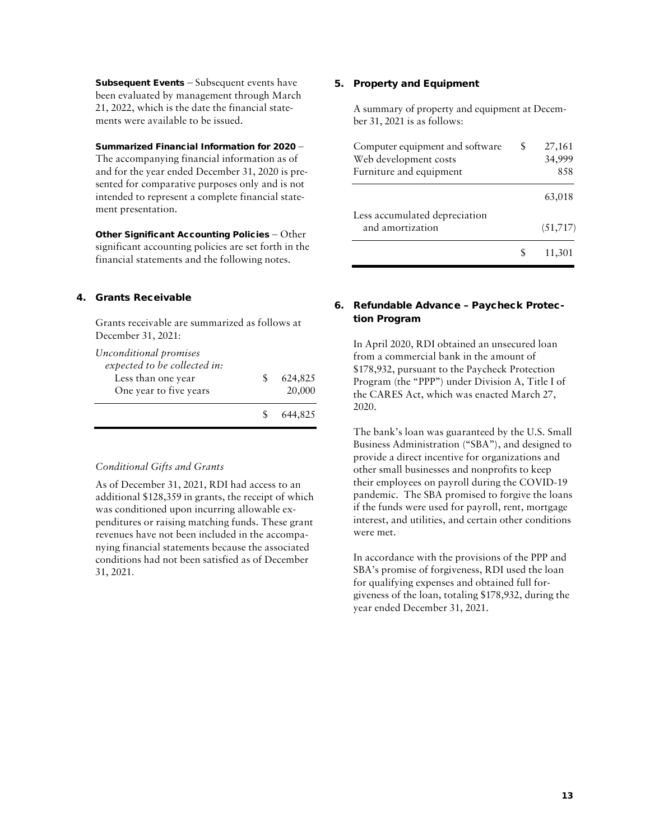Subsequent Events – Subsequent events have been evaluated by management through March 21, 2022, which is the date the financial statements were available to be issued.

Summarized Financial Information for 2020 –

The accompanying financial information as of and for the year ended December 31, 2020 is presented for comparative purposes only and is not intended to represent a complete financial statement presentation.

Other Significant Accounting Policies – Other significant accounting policies are set forth in the financial statements and the following notes.

# 4. Grants Receivable

Grants receivable are summarized as follows at December 31, 2021:

| Unconditional promises<br>expected to be collected in:<br>Less than one year<br>One year to five years |    | 624,825<br>20,000 |
|--------------------------------------------------------------------------------------------------------|----|-------------------|
|                                                                                                        | S. | 644,825           |

# *Conditional Gifts and Grants*

As of December 31, 2021, RDI had access to an additional \$128,359 in grants, the receipt of which was conditioned upon incurring allowable expenditures or raising matching funds. These grant revenues have not been included in the accompanying financial statements because the associated conditions had not been satisfied as of December 31, 2021.

# 5. Property and Equipment

A summary of property and equipment at December 31, 2021 is as follows:

| Computer equipment and software<br>Web development costs | S | 27,161<br>34,999 |
|----------------------------------------------------------|---|------------------|
| Furniture and equipment                                  |   | 858              |
|                                                          |   | 63,018           |
| Less accumulated depreciation                            |   |                  |
| and amortization                                         |   | (51,717)         |
|                                                          |   | 11.301           |

# 6. Refundable Advance – Paycheck Protection Program

In April 2020, RDI obtained an unsecured loan from a commercial bank in the amount of \$178,932, pursuant to the Paycheck Protection Program (the "PPP") under Division A, Title I of the CARES Act, which was enacted March 27, 2020.

The bank's loan was guaranteed by the U.S. Small Business Administration ("SBA"), and designed to provide a direct incentive for organizations and other small businesses and nonprofits to keep their employees on payroll during the COVID-19 pandemic. The SBA promised to forgive the loans if the funds were used for payroll, rent, mortgage interest, and utilities, and certain other conditions were met.

In accordance with the provisions of the PPP and SBA's promise of forgiveness, RDI used the loan for qualifying expenses and obtained full forgiveness of the loan, totaling \$178,932, during the year ended December 31, 2021.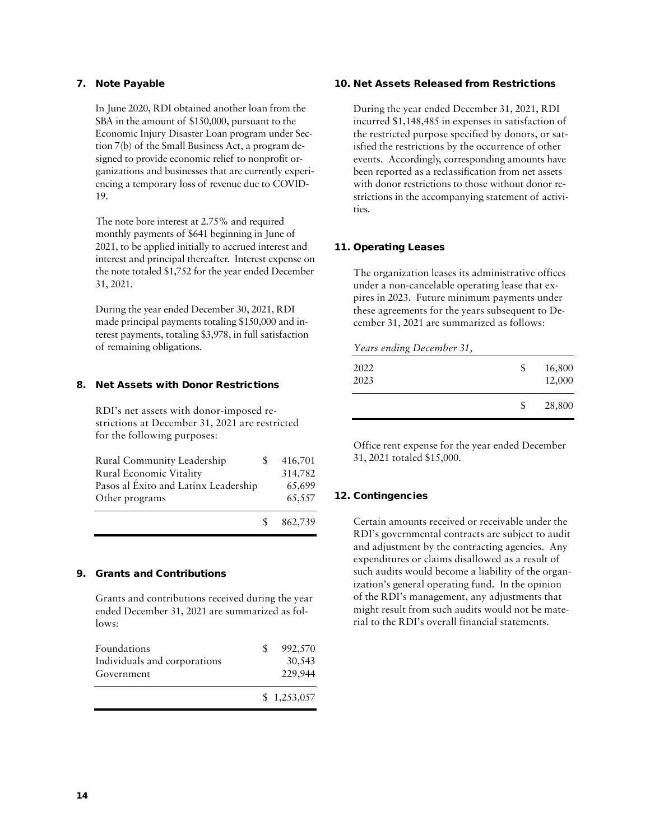#### 7. Note Payable

In June 2020, RDI obtained another loan from the SBA in the amount of \$150,000, pursuant to the Economic Injury Disaster Loan program under Section 7(b) of the Small Business Act, a program designed to provide economic relief to nonprofit organizations and businesses that are currently experiencing a temporary loss of revenue due to COVID-19.

The note bore interest at 2.75% and required monthly payments of \$641 beginning in June of 2021, to be applied initially to accrued interest and interest and principal thereafter. Interest expense on the note totaled \$1,752 for the year ended December 31, 2021.

During the year ended December 30, 2021, RDI made principal payments totaling \$150,000 and interest payments, totaling \$3,978, in full satisfaction of remaining obligations.

## 8. Net Assets with Donor Restrictions

RDI's net assets with donor-imposed restrictions at December 31, 2021 are restricted for the following purposes:

| Rural Community Leadership           |    | 416,701 |
|--------------------------------------|----|---------|
| Rural Economic Vitality              |    | 314,782 |
| Pasos al Éxito and Latinx Leadership |    | 65,699  |
| Other programs                       |    | 65,557  |
|                                      | S. | 862,739 |

#### 9. Grants and Contributions

Grants and contributions received during the year ended December 31, 2021 are summarized as follows:

| Foundations<br>Individuals and corporations | 992,570<br>30,543 |
|---------------------------------------------|-------------------|
| Government                                  | 229,944           |
|                                             | \$1,253,057       |

## 10. Net Assets Released from Restrictions

During the year ended December 31, 2021, RDI incurred \$1,148,485 in expenses in satisfaction of the restricted purpose specified by donors, or satisfied the restrictions by the occurrence of other events. Accordingly, corresponding amounts have been reported as a reclassification from net assets with donor restrictions to those without donor restrictions in the accompanying statement of activities.

## 11. Operating Leases

The organization leases its administrative offices under a non-cancelable operating lease that expires in 2023. Future minimum payments under these agreements for the years subsequent to December 31, 2021 are summarized as follows:

| Years ending December 31, |  |  |  |  |
|---------------------------|--|--|--|--|
|---------------------------|--|--|--|--|

| 2022<br>2023 | S | 16,800<br>12,000 |
|--------------|---|------------------|
|              | S | 28,800           |

Office rent expense for the year ended December 31, 2021 totaled \$15,000.

# 12. Contingencies

Certain amounts received or receivable under the RDI's governmental contracts are subject to audit and adjustment by the contracting agencies. Any expenditures or claims disallowed as a result of such audits would become a liability of the organization's general operating fund. In the opinion of the RDI's management, any adjustments that might result from such audits would not be material to the RDI's overall financial statements.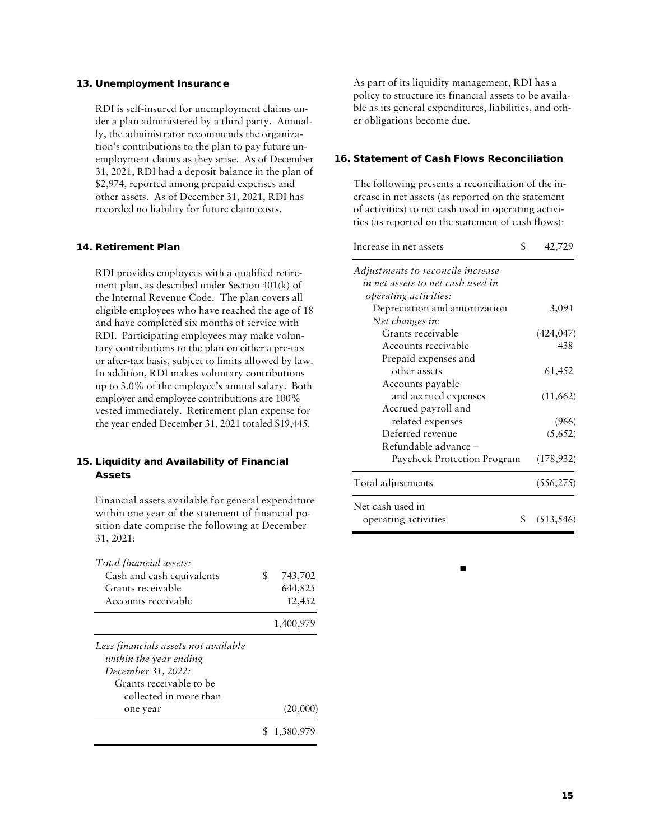#### 13. Unemployment Insurance

RDI is self-insured for unemployment claims under a plan administered by a third party. Annually, the administrator recommends the organization's contributions to the plan to pay future unemployment claims as they arise. As of December 31, 2021, RDI had a deposit balance in the plan of \$2,974, reported among prepaid expenses and other assets. As of December 31, 2021, RDI has recorded no liability for future claim costs.

## 14. Retirement Plan

RDI provides employees with a qualified retirement plan, as described under Section 401(k) of the Internal Revenue Code. The plan covers all eligible employees who have reached the age of 18 and have completed six months of service with RDI. Participating employees may make voluntary contributions to the plan on either a pre-tax or after-tax basis, subject to limits allowed by law. In addition, RDI makes voluntary contributions up to 3.0% of the employee's annual salary. Both employer and employee contributions are 100% vested immediately. Retirement plan expense for the year ended December 31, 2021 totaled \$19,445.

# 15. Liquidity and Availability of Financial Assets

Financial assets available for general expenditure within one year of the statement of financial position date comprise the following at December 31, 2021:

| Total financial assets:              |   |           |
|--------------------------------------|---|-----------|
| Cash and cash equivalents            | S | 743,702   |
| Grants receivable                    |   | 644,825   |
| Accounts receivable                  |   | 12,452    |
|                                      |   | 1,400,979 |
| Less financials assets not available |   |           |
| within the year ending               |   |           |
| December 31, 2022:                   |   |           |
| Grants receivable to be              |   |           |
| collected in more than               |   |           |
| one year                             |   | (20,000)  |
|                                      |   | 1,380,979 |

As part of its liquidity management, RDI has a policy to structure its financial assets to be available as its general expenditures, liabilities, and other obligations become due.

#### 16. Statement of Cash Flows Reconciliation

The following presents a reconciliation of the increase in net assets (as reported on the statement of activities) to net cash used in operating activities (as reported on the statement of cash flows):

| Increase in net assets            | S | 42,729     |
|-----------------------------------|---|------------|
| Adjustments to reconcile increase |   |            |
| in net assets to net cash used in |   |            |
| operating activities:             |   |            |
| Depreciation and amortization     |   | 3,094      |
| Net changes in:                   |   |            |
| Grants receivable                 |   | (424,047)  |
| Accounts receivable               |   | 438        |
| Prepaid expenses and              |   |            |
| other assets                      |   | 61,452     |
| Accounts payable                  |   |            |
| and accrued expenses              |   | (11,662)   |
| Accrued payroll and               |   |            |
| related expenses                  |   | (966)      |
| Deferred revenue                  |   | (5,652)    |
| Refundable advance –              |   |            |
| Paycheck Protection Program       |   | (178, 932) |
| Total adjustments                 |   | (556, 275) |
| Net cash used in                  |   |            |
| operating activities              | S | (513, 546) |

Е